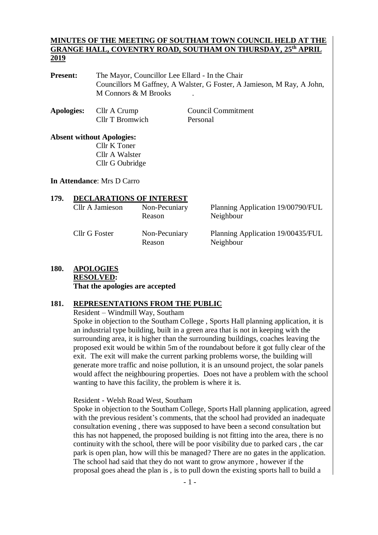#### **MINUTES OF THE MEETING OF SOUTHAM TOWN COUNCIL HELD AT THE GRANGE HALL, COVENTRY ROAD, SOUTHAM ON THURSDAY, 25 th APRIL 2019**

**Present:** The Mayor, Councillor Lee Ellard - In the Chair Councillors M Gaffney, A Walster, G Foster, A Jamieson, M Ray, A John, M Connors & M Brooks .

**Apologies:** Cllr A Crump Council Commitment Cllr T Bromwich Personal

**Absent without Apologies:** Cllr K Toner Cllr A Walster Cllr G Oubridge

**In Attendance**: Mrs D Carro

| 179. | <b>DECLARATIONS OF INTEREST</b> |                         |                                                |  |  |
|------|---------------------------------|-------------------------|------------------------------------------------|--|--|
|      | Cllr A Jamieson                 | Non-Pecuniary<br>Reason | Planning Application 19/00790/FUL<br>Neighbour |  |  |
|      | Cllr G Foster                   | Non-Pecuniary<br>Reason | Planning Application 19/00435/FUL<br>Neighbour |  |  |

# **180. APOLOGIES RESOLVED:**

**That the apologies are accepted**

## **181. REPRESENTATIONS FROM THE PUBLIC**

Resident – Windmill Way, Southam

Spoke in objection to the Southam College , Sports Hall planning application, it is an industrial type building, built in a green area that is not in keeping with the surrounding area, it is higher than the surrounding buildings, coaches leaving the proposed exit would be within 5m of the roundabout before it got fully clear of the exit. The exit will make the current parking problems worse, the building will generate more traffic and noise pollution, it is an unsound project, the solar panels would affect the neighbouring properties. Does not have a problem with the school wanting to have this facility, the problem is where it is.

Resident - Welsh Road West, Southam

Spoke in objection to the Southam College, Sports Hall planning application, agreed with the previous resident's comments, that the school had provided an inadequate consultation evening , there was supposed to have been a second consultation but this has not happened, the proposed building is not fitting into the area, there is no continuity with the school, there will be poor visibility due to parked cars , the car park is open plan, how will this be managed? There are no gates in the application. The school had said that they do not want to grow anymore , however if the proposal goes ahead the plan is , is to pull down the existing sports hall to build a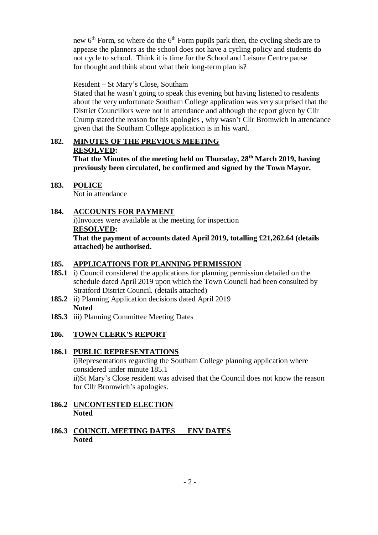new  $6<sup>th</sup>$  Form, so where do the  $6<sup>th</sup>$  Form pupils park then, the cycling sheds are to appease the planners as the school does not have a cycling policy and students do not cycle to school. Think it is time for the School and Leisure Centre pause for thought and think about what their long-term plan is?

Resident – St Mary's Close, Southam

Stated that he wasn't going to speak this evening but having listened to residents about the very unfortunate Southam College application was very surprised that the District Councillors were not in attendance and although the report given by Cllr Crump stated the reason for his apologies , why wasn't Cllr Bromwich in attendance given that the Southam College application is in his ward.

# **182. MINUTES OF THE PREVIOUS MEETING RESOLVED:**

**That the Minutes of the meeting held on Thursday, 28th March 2019, having previously been circulated, be confirmed and signed by the Town Mayor.** 

- **183. POLICE** Not in attendance
- **184. ACCOUNTS FOR PAYMENT** i)Invoices were available at the meeting for inspection **RESOLVED: That the payment of accounts dated April 2019, totalling £21,262.64 (details attached) be authorised.**

# **185. APPLICATIONS FOR PLANNING PERMISSION**

- **185.1** i) Council considered the applications for planning permission detailed on the schedule dated April 2019 upon which the Town Council had been consulted by Stratford District Council. (details attached)
- **185.2** ii) Planning Application decisions dated April 2019 **Noted**
- **185.3** iii) Planning Committee Meeting Dates

# **186. TOWN CLERK'S REPORT**

# **186.1 PUBLIC REPRESENTATIONS**

i)Representations regarding the Southam College planning application where considered under minute 185.1 ii)St Mary's Close resident was advised that the Council does not know the reason for Cllr Bromwich's apologies.

## **186.2 UNCONTESTED ELECTION Noted**

### **186.3 COUNCIL MEETING DATES ENV DATES Noted**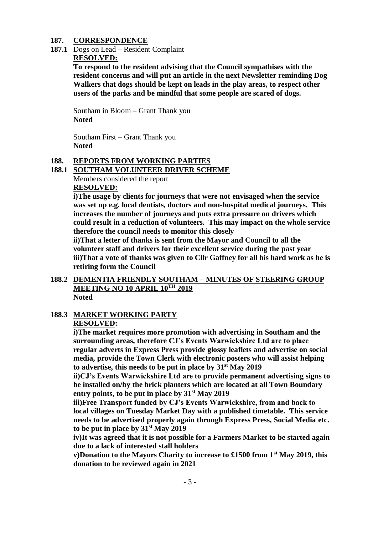#### **187. CORRESPONDENCE**

**187.1** Dogs on Lead – Resident Complaint **RESOLVED:**

> **To respond to the resident advising that the Council sympathises with the resident concerns and will put an article in the next Newsletter reminding Dog Walkers that dogs should be kept on leads in the play areas, to respect other users of the parks and be mindful that some people are scared of dogs.**

Southam in Bloom – Grant Thank you **Noted**

Southam First – Grant Thank you **Noted**

#### **188. REPORTS FROM WORKING PARTIES**

#### **188.1 SOUTHAM VOLUNTEER DRIVER SCHEME**

Members considered the report **RESOLVED:**

**i)The usage by clients for journeys that were not envisaged when the service was set up e.g. local dentists, doctors and non-hospital medical journeys. This increases the number of journeys and puts extra pressure on drivers which could result in a reduction of volunteers. This may impact on the whole service therefore the council needs to monitor this closely**

**ii)That a letter of thanks is sent from the Mayor and Council to all the volunteer staff and drivers for their excellent service during the past year iii)That a vote of thanks was given to Cllr Gaffney for all his hard work as he is retiring form the Council**

**188.2 DEMENTIA FRIENDLY SOUTHAM – MINUTES OF STEERING GROUP MEETING NO 10 APRIL 10TH 2019 Noted**

## **188.3 MARKET WORKING PARTY RESOLVED:**

**i)The market requires more promotion with advertising in Southam and the surrounding areas, therefore CJ's Events Warwickshire Ltd are to place regular adverts in Express Press provide glossy leaflets and advertise on social media, provide the Town Clerk with electronic posters who will assist helping to advertise, this needs to be put in place by 31st May 2019**

**ii)CJ's Events Warwickshire Ltd are to provide permanent advertising signs to be installed on/by the brick planters which are located at all Town Boundary entry points, to be put in place by 31st May 2019**

**iii)Free Transport funded by CJ's Events Warwickshire, from and back to local villages on Tuesday Market Day with a published timetable. This service needs to be advertised properly again through Express Press, Social Media etc. to be put in place by 31st May 2019**

**iv)It was agreed that it is not possible for a Farmers Market to be started again due to a lack of interested stall holders**

**v)Donation to the Mayors Charity to increase to £1500 from 1st May 2019, this donation to be reviewed again in 2021**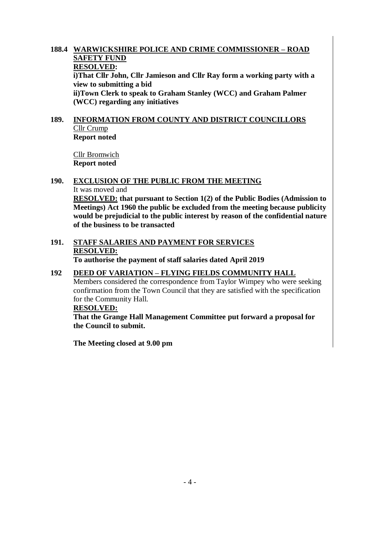#### **188.4 WARWICKSHIRE POLICE AND CRIME COMMISSIONER – ROAD SAFETY FUND RESOLVED:**

**i)That Cllr John, Cllr Jamieson and Cllr Ray form a working party with a view to submitting a bid**

**ii)Town Clerk to speak to Graham Stanley (WCC) and Graham Palmer (WCC) regarding any initiatives**

#### **189. INFORMATION FROM COUNTY AND DISTRICT COUNCILLORS** Cllr Crump **Report noted**

Cllr Bromwich **Report noted**

# **190. EXCLUSION OF THE PUBLIC FROM THE MEETING** It was moved and **RESOLVED: that pursuant to Section 1(2) of the Public Bodies (Admission to**

**Meetings) Act 1960 the public be excluded from the meeting because publicity would be prejudicial to the public interest by reason of the confidential nature of the business to be transacted**

#### **191. STAFF SALARIES AND PAYMENT FOR SERVICES RESOLVED: To authorise the payment of staff salaries dated April 2019**

# **192 DEED OF VARIATION – FLYING FIELDS COMMUNITY HALL**

Members considered the correspondence from Taylor Wimpey who were seeking confirmation from the Town Council that they are satisfied with the specification for the Community Hall.

#### **RESOLVED:**

**That the Grange Hall Management Committee put forward a proposal for the Council to submit.**

**The Meeting closed at 9.00 pm**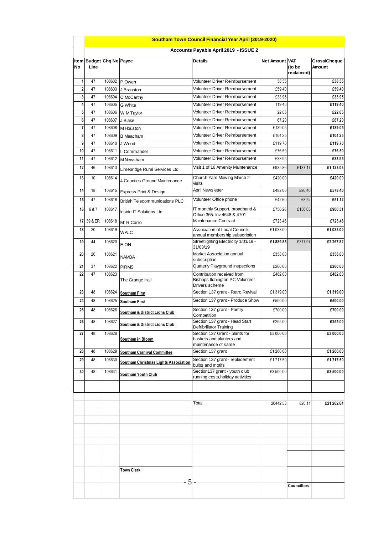|                |                                       |                  |                                       | <b>Southam Town Council Financial Year April (2019-2020)</b>                      |                |                      |                               |  |
|----------------|---------------------------------------|------------------|---------------------------------------|-----------------------------------------------------------------------------------|----------------|----------------------|-------------------------------|--|
|                | Accounts Payable April 2019 - ISSUE 2 |                  |                                       |                                                                                   |                |                      |                               |  |
| No             | Item Budget Chq No Payee<br>Line      |                  |                                       | <b>Details</b>                                                                    | Net Amount VAT | (to be<br>reclaimed) | Gross/Cheque<br><b>Amount</b> |  |
| 1              | 47                                    | 108602           | P Owen                                | Volunteer Driver Reimbursement                                                    | 38.55          |                      | £38.55                        |  |
| $\overline{c}$ | 47                                    | 108603           | J Branston                            | Volunteer Driver Reimbursement                                                    | £59.40         |                      | £59.40                        |  |
| 3              | 47                                    | 108604           | C McCarthy                            | Volunteer Driver Reimbursement                                                    | £33.95         |                      | £33.95                        |  |
| 4              | 47                                    | 108605           | <b>G</b> White                        | Volunteer Driver Reimbursement                                                    | 119.40         |                      | £119.40                       |  |
| 5              | 47                                    | 108606           | W M Taylor                            | Volunteer Driver Reimbursement                                                    | 22.05          |                      | £22.05                        |  |
| 6              | 47                                    | 108607           | J Blake                               | Volunteer Driver Reimbursement                                                    | 67.20          |                      | £67.20                        |  |
| $\overline{7}$ | 47                                    | 108608           | M Houston                             | Volunteer Driver Reimbursement                                                    | £139.05        |                      | £139.05                       |  |
| 8              | 47                                    | 108609           | <b>B</b> Meacham                      | Volunteer Driver Reimbursement                                                    | £104.25        |                      | £104.25                       |  |
| 9              | 47                                    | 108610           | J Wood                                | Volunteer Driver Reimbursement                                                    | £119.70        |                      | £119.70                       |  |
| 10             | 47                                    | 108611           | L Commander                           | Volunteer Driver Reimbursement                                                    | £76.50         |                      | £76.50                        |  |
| 11             | 47                                    | 108612           | M Newsham                             | Volunteer Driver Reimbursement                                                    | £33.95         |                      | £33.95                        |  |
| 12             | 46                                    | 108613<br>108614 | Limebridge Rural Services Ltd         | Visit 1 of 16 Amenity Maintenance                                                 | £935.86        | £187.17              | £1,123.03<br>£420.00          |  |
| 13             | 10                                    |                  | 4 Counties Ground Maintenance         | Church Yard Mowing March 2<br>visits                                              | £420.00        |                      |                               |  |
| 14             | 18                                    | 108615           | Express Print & Design                | <b>April Newsletter</b>                                                           | £482.00        | £96.40               | £578.40                       |  |
| 15             | 47                                    | 108616           | <b>British Telecommunications PLC</b> | Volunteer Office phone                                                            | £42.60         | £8.52                | £51.12                        |  |
| 16             | 6&7                                   | 108617           | Inside IT Solutions Ltd               | IT monthly Support, broadband &<br>Office 365. Inv 4648 & 4701                    | £750.26        | £150.05              | £900.31                       |  |
| 17             | 39 & ER                               | 108618           | Mr R Carro                            | Maintenance Contract                                                              | £723.46        |                      | £723.46                       |  |
| 18             | 20                                    | 108619           | <b>WALC</b>                           | <b>Association of Local Councils</b><br>annual membership subscription            | £1,033.00      |                      | £1,033.00                     |  |
| 19             | 44                                    | 108620           | E.ON                                  | Streetlighting Electricity 1/01/19 -<br>31/03/19                                  | £1,889.85      | £377.97              | £2,267.82                     |  |
| 20             | 20                                    | 108621           | <b>NAMBA</b>                          | Market Association annual<br>subscription                                         | £358.00        |                      | £358.00                       |  |
| 21             | 37                                    | 108622           | <b>PIRMS</b>                          | Quaterly Playground inspections                                                   | £260.00        |                      | £260.00                       |  |
| 22             | 47                                    | 108623           | The Grange Hall                       | Contribution received from<br>Bishops Itchington PC Volunteer<br>Drivers scheme   | £482.00        |                      | £482.00                       |  |
| 23             | 48                                    | 108624           | <b>Southam First</b>                  | Section 137 grant - Retro Revival                                                 | £1,319.00      |                      | £1,319.00                     |  |
| 24             | 48                                    | 108625           | <b>Southam First</b>                  | Section 137 grant - Produce Show                                                  | £500.00        |                      | £500.00                       |  |
| 25             | 48                                    | 108626           |                                       | Section 137 grant - Poetry                                                        | £700.00        |                      | £700.00                       |  |
| 26             | 48                                    | 108627           | Southam & District Lions Club         | Competition<br>Section 137 grant - Head Start                                     | £255.00        |                      | £255.00                       |  |
|                |                                       |                  | Southam & District Lions Club         | <b>Defribrillator Training</b>                                                    |                |                      |                               |  |
| 27             | 48                                    | 108628           | Southam in Bloom                      | Section 137 Grant - plants for<br>baskets and planters and<br>maintenance of same | £3,000.00      |                      | £3,000.00                     |  |
| 28             | 48                                    | 108629           | <b>Southam Carnival Committee</b>     | Section 137 grant                                                                 | £1,260.00      |                      | £1,260.00                     |  |
| 29             | 48                                    | 108630           | Southam Christmas Lights Association  | Section 137 grant - replacement<br>bulbs and motifs                               | £1,717.50      |                      | £1,717.50                     |  |
| 30             | 48                                    | 108631           | Southam Youth Club                    | Section137 grant - youth club<br>running costs, holiday activities                | £3,500.00      |                      | £3,500.00                     |  |
|                |                                       |                  |                                       |                                                                                   |                |                      |                               |  |
|                |                                       |                  |                                       | Total                                                                             | 20442.53       | 820.11               | £21,262.64                    |  |
|                |                                       |                  |                                       |                                                                                   |                |                      |                               |  |
|                |                                       |                  |                                       |                                                                                   |                |                      |                               |  |
|                |                                       |                  |                                       |                                                                                   |                |                      |                               |  |
|                |                                       |                  |                                       |                                                                                   |                |                      |                               |  |
|                |                                       |                  |                                       |                                                                                   |                |                      |                               |  |
|                |                                       |                  | <b>Town Clerk</b><br>5                |                                                                                   |                |                      |                               |  |
|                |                                       |                  |                                       |                                                                                   |                | <b>Councillors</b>   |                               |  |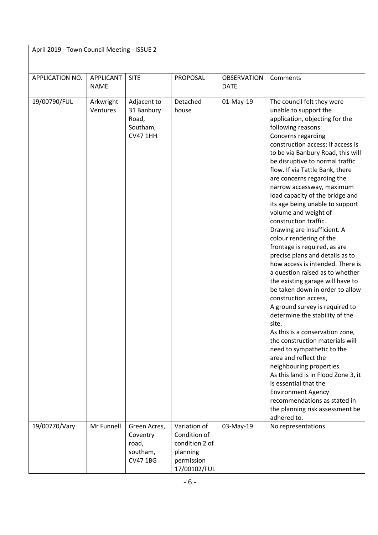| April 2019 - Town Council Meeting - ISSUE 2 |                          |                                                                   |                                                                                          |                                   |                                                                                                                                                                                                                                                                                                                                                                                                                                                                                                                                                                                                                                                                                                                                                                                                                                                                                                                                                                                                                                                                                                                                                                                            |  |  |
|---------------------------------------------|--------------------------|-------------------------------------------------------------------|------------------------------------------------------------------------------------------|-----------------------------------|--------------------------------------------------------------------------------------------------------------------------------------------------------------------------------------------------------------------------------------------------------------------------------------------------------------------------------------------------------------------------------------------------------------------------------------------------------------------------------------------------------------------------------------------------------------------------------------------------------------------------------------------------------------------------------------------------------------------------------------------------------------------------------------------------------------------------------------------------------------------------------------------------------------------------------------------------------------------------------------------------------------------------------------------------------------------------------------------------------------------------------------------------------------------------------------------|--|--|
|                                             |                          |                                                                   |                                                                                          |                                   |                                                                                                                                                                                                                                                                                                                                                                                                                                                                                                                                                                                                                                                                                                                                                                                                                                                                                                                                                                                                                                                                                                                                                                                            |  |  |
| APPLICATION NO.                             | APPLICANT<br><b>NAME</b> | <b>SITE</b>                                                       | PROPOSAL                                                                                 | <b>OBSERVATION</b><br><b>DATE</b> | Comments                                                                                                                                                                                                                                                                                                                                                                                                                                                                                                                                                                                                                                                                                                                                                                                                                                                                                                                                                                                                                                                                                                                                                                                   |  |  |
| 19/00790/FUL                                | Arkwright<br>Ventures    | Adjacent to<br>31 Banbury<br>Road,<br>Southam,<br><b>CV47 1HH</b> | Detached<br>house                                                                        | 01-May-19                         | The council felt they were<br>unable to support the<br>application, objecting for the<br>following reasons:<br>Concerns regarding<br>construction access: if access is<br>to be via Banbury Road, this will<br>be disruptive to normal traffic<br>flow. If via Tattle Bank, there<br>are concerns regarding the<br>narrow accessway, maximum<br>load capacity of the bridge and<br>its age being unable to support<br>volume and weight of<br>construction traffic.<br>Drawing are insufficient. A<br>colour rendering of the<br>frontage is required, as are<br>precise plans and details as to<br>how access is intended. There is<br>a question raised as to whether<br>the existing garage will have to<br>be taken down in order to allow<br>construction access,<br>A ground survey is required to<br>determine the stability of the<br>site.<br>As this is a conservation zone,<br>the construction materials will<br>need to sympathetic to the<br>area and reflect the<br>neighbouring properties.<br>As this land is in Flood Zone 3, it<br>is essential that the<br><b>Environment Agency</b><br>recommendations as stated in<br>the planning risk assessment be<br>adhered to. |  |  |
| 19/00770/Vary                               | Mr Funnell               | Green Acres,<br>Coventry<br>road,<br>southam,<br><b>CV471BG</b>   | Variation of<br>Condition of<br>condition 2 of<br>planning<br>permission<br>17/00102/FUL | 03-May-19                         | No representations                                                                                                                                                                                                                                                                                                                                                                                                                                                                                                                                                                                                                                                                                                                                                                                                                                                                                                                                                                                                                                                                                                                                                                         |  |  |